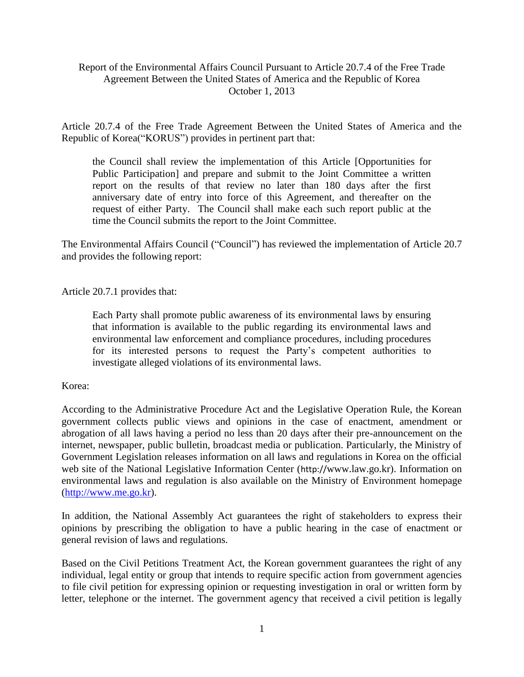# Report of the Environmental Affairs Council Pursuant to Article 20.7.4 of the Free Trade Agreement Between the United States of America and the Republic of Korea October 1, 2013

Article 20.7.4 of the Free Trade Agreement Between the United States of America and the Republic of Korea("KORUS") provides in pertinent part that:

the Council shall review the implementation of this Article [Opportunities for Public Participation] and prepare and submit to the Joint Committee a written report on the results of that review no later than 180 days after the first anniversary date of entry into force of this Agreement, and thereafter on the request of either Party. The Council shall make each such report public at the time the Council submits the report to the Joint Committee.

The Environmental Affairs Council ("Council") has reviewed the implementation of Article 20.7 and provides the following report:

Article 20.7.1 provides that:

Each Party shall promote public awareness of its environmental laws by ensuring that information is available to the public regarding its environmental laws and environmental law enforcement and compliance procedures, including procedures for its interested persons to request the Party's competent authorities to investigate alleged violations of its environmental laws.

Korea:

According to the Administrative Procedure Act and the Legislative Operation Rule, the Korean government collects public views and opinions in the case of enactment, amendment or abrogation of all laws having a period no less than 20 days after their pre-announcement on the internet, newspaper, public bulletin, broadcast media or publication. Particularly, the Ministry of Government Legislation releases information on all laws and regulations in Korea on the official web site of the National Legislative Information Center (http://www.law.go.kr). Information on environmental laws and regulation is also available on the Ministry of Environment homepage [\(http://www.me.go.kr\)](http://www.me.go.kr/).

In addition, the National Assembly Act guarantees the right of stakeholders to express their opinions by prescribing the obligation to have a public hearing in the case of enactment or general revision of laws and regulations.

Based on the Civil Petitions Treatment Act, the Korean government guarantees the right of any individual, legal entity or group that intends to require specific action from government agencies to file civil petition for expressing opinion or requesting investigation in oral or written form by letter, telephone or the internet. The government agency that received a civil petition is legally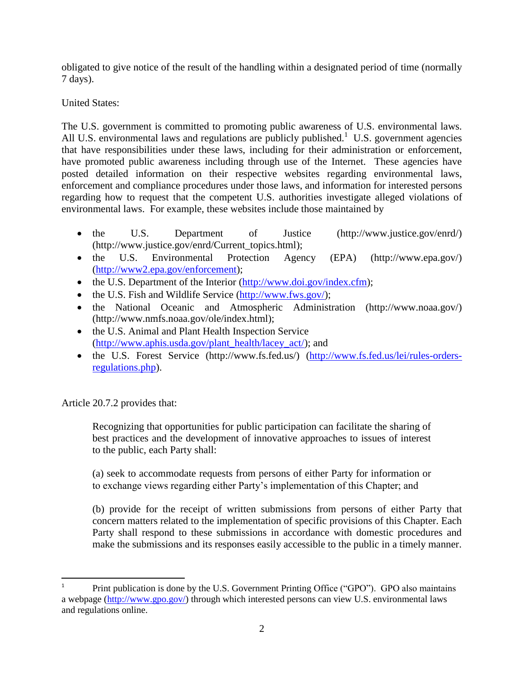obligated to give notice of the result of the handling within a designated period of time (normally 7 days).

# United States:

The U.S. government is committed to promoting public awareness of U.S. environmental laws. All U.S. environmental laws and regulations are publicly published.<sup>1</sup> U.S. government agencies that have responsibilities under these laws, including for their administration or enforcement, have promoted public awareness including through use of the Internet. These agencies have posted detailed information on their respective websites regarding environmental laws, enforcement and compliance procedures under those laws, and information for interested persons regarding how to request that the competent U.S. authorities investigate alleged violations of environmental laws. For example, these websites include those maintained by

- the U.S. Department of Justice [\(http://www.justice.gov/enrd/\)](http://www.justice.gov/enrd/) (http://www.justice.gov/enrd/Current\_topics.html);
- the U.S. Environmental Protection Agency (EPA) (http://www.epa.gov/) [\(http://www2.epa.gov/enforcement\)](http://www2.epa.gov/enforcement);
- the U.S. Department of the Interior [\(http://www.doi.gov/index.cfm\)](http://www.doi.gov/index.cfm);
- $\bullet$  the U.S. Fish and Wildlife Service [\(http://www.fws.gov/\)](http://www.fws.gov/);
- the National Oceanic and Atmospheric Administration (http://www.noaa.gov/) (http://www.nmfs.noaa.gov/ole/index.html);
- the U.S. Animal and Plant Health Inspection Service [\(http://www.aphis.usda.gov/plant\\_health/lacey\\_act/\)](http://www.aphis.usda.gov/plant_health/lacey_act/); and
- the U.S. Forest Service (http://www.fs.fed.us/) [\(http://www.fs.fed.us/lei/rules-orders](http://www.fs.fed.us/lei/rules-orders-regulations.php)[regulations.php\)](http://www.fs.fed.us/lei/rules-orders-regulations.php).

Article 20.7.2 provides that:

Recognizing that opportunities for public participation can facilitate the sharing of best practices and the development of innovative approaches to issues of interest to the public, each Party shall:

(a) seek to accommodate requests from persons of either Party for information or to exchange views regarding either Party's implementation of this Chapter; and

(b) provide for the receipt of written submissions from persons of either Party that concern matters related to the implementation of specific provisions of this Chapter. Each Party shall respond to these submissions in accordance with domestic procedures and make the submissions and its responses easily accessible to the public in a timely manner.

 $\overline{1}$ Print publication is done by the U.S. Government Printing Office ("GPO"). GPO also maintains a webpage [\(http://www.gpo.gov/\)](http://www.gpo.gov/) through which interested persons can view U.S. environmental laws and regulations online.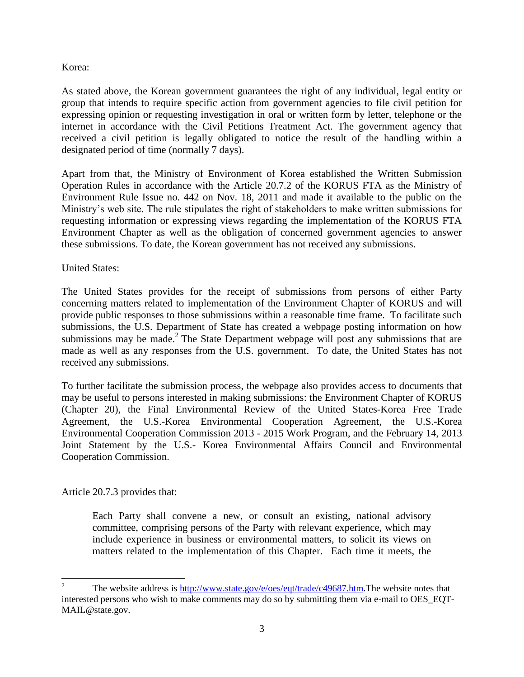### Korea:

As stated above, the Korean government guarantees the right of any individual, legal entity or group that intends to require specific action from government agencies to file civil petition for expressing opinion or requesting investigation in oral or written form by letter, telephone or the internet in accordance with the Civil Petitions Treatment Act. The government agency that received a civil petition is legally obligated to notice the result of the handling within a designated period of time (normally 7 days).

Apart from that, the Ministry of Environment of Korea established the Written Submission Operation Rules in accordance with the Article 20.7.2 of the KORUS FTA as the Ministry of Environment Rule Issue no. 442 on Nov. 18, 2011 and made it available to the public on the Ministry's web site. The rule stipulates the right of stakeholders to make written submissions for requesting information or expressing views regarding the implementation of the KORUS FTA Environment Chapter as well as the obligation of concerned government agencies to answer these submissions. To date, the Korean government has not received any submissions.

### United States:

The United States provides for the receipt of submissions from persons of either Party concerning matters related to implementation of the Environment Chapter of KORUS and will provide public responses to those submissions within a reasonable time frame. To facilitate such submissions, the U.S. Department of State has created a webpage posting information on how submissions may be made.<sup>2</sup> The State Department webpage will post any submissions that are made as well as any responses from the U.S. government. To date, the United States has not received any submissions.

To further facilitate the submission process, the webpage also provides access to documents that may be useful to persons interested in making submissions: the Environment Chapter of KORUS (Chapter 20), the Final Environmental Review of the United States-Korea Free Trade Agreement, the U.S.-Korea Environmental Cooperation Agreement, the U.S.-Korea Environmental Cooperation Commission 2013 - 2015 Work Program, and the February 14, 2013 Joint Statement by the U.S.- Korea Environmental Affairs Council and Environmental Cooperation Commission.

# Article 20.7.3 provides that:

Each Party shall convene a new, or consult an existing, national advisory committee, comprising persons of the Party with relevant experience, which may include experience in business or environmental matters, to solicit its views on matters related to the implementation of this Chapter. Each time it meets, the

 $\overline{2}$ <sup>2</sup> The website address is [http://www.state.gov/e/oes/eqt/trade/c49687.htm.](http://www.state.gov/e/oes/eqt/trade/c49687.htm)The website notes that interested persons who wish to make comments may do so by submitting them via e-mail to OES\_EQT-MAIL@state.gov.